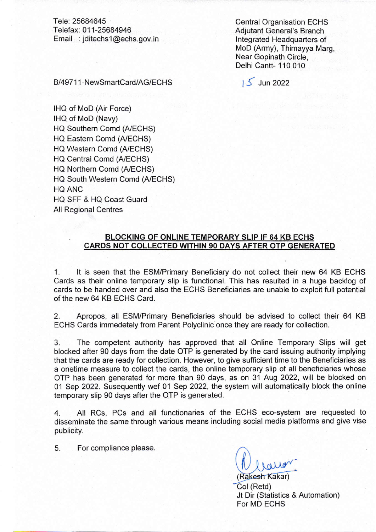Tele: 25684645 Telefax: 011-25684946 Email : jditechsl@echs.gov.in

Central Organisation ECHS Adjutant General's Branch <sup>I</sup>ntegrated Headquarters of MoD (Army), Thimayya Marg, Near Gopinath Circle, Delhi Cantt- 110 010

B/49711-NewSmartCard/AG/ECHS 15 Jun 2022

IHQ of MoD (Air Force) IHQ of MoD (Navy) HQ Southern Comd (A/ECHS) HQ Eastern Comd (A/ECHS) HQ Western Comd (A/ECHS) HQ Central Comd (A/ECHS) HQ Northern Comd (A/ECHS) HQ South Western Comd (A/ECHS) HQ ANC HO SFF & HQ Coast Guard All Regional Centres

## BLOCKING OF ONLINE TEMPORARY SLIP IF 64 KB ECHS CARDS NOT COLLECTED WITHIN 90 DAYS AFTER OTP GENERATED

1. lt is seen that the ESM/Primary Beneficiary do not collect their new 64 KB ECHS Cards as their online temporary slip is functional. This has resulted in a huge backlog of cards to be handed over and also the ECHS Beneficiaries are unable to exploit full potential of the new 64 KB ECHS Card.

2. Apropos, all ESM/Primary Beneficiaries should be advised to collect their 64 KB ECHS Cards immedetely from Parent Polyclinic once they are ready for collection.

3. The competent authority has approved that all Online Temporary Slips will get blocked after 90 days from the date OTP is generated by the card issuing authority implying that the cards are ready for collection. However, to give sufficient time to the Beneficiaries as a onetime measure to collect the cards, the online temporary slip of all beneficiaries whose OTP has been generated for more than 90 days, as on 31 Aug 2022, will be blocked on 01 Sep 2022. Susequently wef 01 Sep 2022, the system will automatically block the online temporary slip 90 days after the OTP is generated.

4. All RCs, PCs and all functionaries of the ECHS eco-system are requested to disseminate the same through various means including social media platforms and give vise publicity.

5. For compliance please.

Rakesh Kakar) Col (Retd) Jt Dir (Statistics & Automation) For MD ECHS